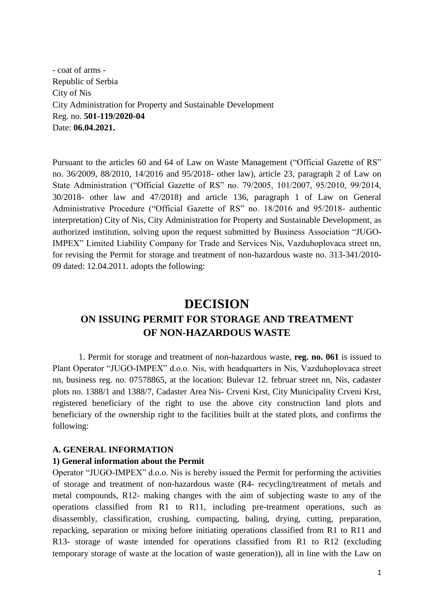- coat of arms - Republic of Serbia City of Nis City Administration for Property and Sustainable Development Reg. no. **501-119/2020-04** Date: **06.04.2021.**

Pursuant to the articles 60 and 64 of Law on Waste Management ("Official Gazette of RS" no. 36/2009, 88/2010, 14/2016 and 95/2018- other law), article 23, paragraph 2 of Law on State Administration ("Official Gazette of RS" no. 79/2005, 101/2007, 95/2010, 99/2014, 30/2018- other law and 47/2018) and article 136, paragraph 1 of Law on General Administrative Procedure ("Official Gazette of RS" no. 18/2016 and 95/2018- authentic interpretation) City of Nis, City Administration for Property and Sustainable Development, as authorized institution, solving upon the request submitted by Business Association "JUGO-IMPEX" Limited Liability Company for Trade and Services Nis, Vazduhoplovaca street nn, for revising the Permit for storage and treatment of non-hazardous waste no. 313-341/2010- 09 dated: 12.04.2011. adopts the following:

# **DECISION ON ISSUING PERMIT FOR STORAGE AND TREATMENT OF NON-HAZARDOUS WASTE**

1. Permit for storage and treatment of non-hazardous waste, **reg. no. 061** is issued to Plant Operator "JUGO-IMPEX" d.o.o. Nis, with headquarters in Nis, Vazduhoplovaca street nn, business reg. no. 07578865, at the location: Bulevar 12. februar street nn, Nis, cadaster plots no. 1388/1 and 1388/7, Cadaster Area Nis- Crveni Krst, City Municipality Crveni Krst, registered beneficiary of the right to use the above city construction land plots and beneficiary of the ownership right to the facilities built at the stated plots, and confirms the following:

#### **A. GENERAL INFORMATION**

#### **1) General information about the Permit**

Operator "JUGO-IMPEX" d.o.o. Nis is hereby issued the Permit for performing the activities of storage and treatment of non-hazardous waste (R4- recycling/treatment of metals and metal compounds, R12- making changes with the aim of subjecting waste to any of the operations classified from R1 to R11, including pre-treatment operations, such as disassembly, classification, crushing, compacting, baling, drying, cutting, preparation, repacking, separation or mixing before initiating operations classified from R1 to R11 and R13- storage of waste intended for operations classified from R1 to R12 (excluding temporary storage of waste at the location of waste generation)), all in line with the Law on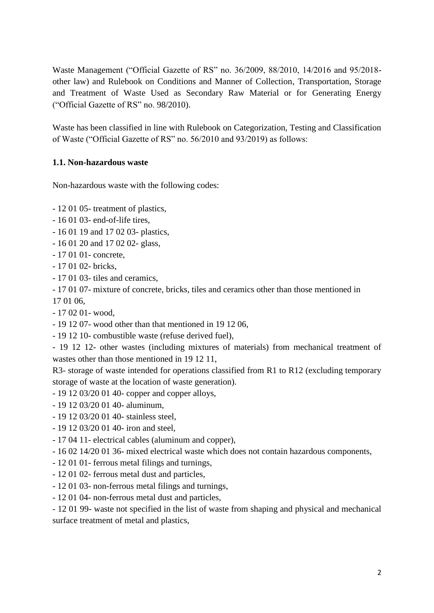Waste Management ("Official Gazette of RS" no. 36/2009, 88/2010, 14/2016 and 95/2018 other law) and Rulebook on Conditions and Manner of Collection, Transportation, Storage and Treatment of Waste Used as Secondary Raw Material or for Generating Energy ("Official Gazette of RS" no. 98/2010).

Waste has been classified in line with Rulebook on Categorization, Testing and Classification of Waste ("Official Gazette of RS" no. 56/2010 and 93/2019) as follows:

### **1.1. Non-hazardous waste**

Non-hazardous waste with the following codes:

- 12 01 05- treatment of plastics,
- 16 01 03- end-of-life tires,
- 16 01 19 and 17 02 03- plastics,
- 16 01 20 and 17 02 02- glass,
- 17 01 01- concrete,
- 17 01 02- bricks,
- 17 01 03- tiles and ceramics,
- 17 01 07- mixture of concrete, bricks, tiles and ceramics other than those mentioned in 17 01 06,
- 17 02 01- wood,
- 19 12 07- wood other than that mentioned in 19 12 06,
- 19 12 10- combustible waste (refuse derived fuel),
- 19 12 12- other wastes (including mixtures of materials) from mechanical treatment of wastes other than those mentioned in 19 12 11,

R3- storage of waste intended for operations classified from R1 to R12 (excluding temporary storage of waste at the location of waste generation).

- 19 12 03/20 01 40- copper and copper alloys,
- 19 12 03/20 01 40- aluminum,
- 19 12 03/20 01 40- stainless steel,
- 19 12 03/20 01 40- iron and steel,
- 17 04 11- electrical cables (aluminum and copper),
- 16 02 14/20 01 36- mixed electrical waste which does not contain hazardous components,
- 12 01 01- ferrous metal filings and turnings,
- 12 01 02- ferrous metal dust and particles,
- 12 01 03- non-ferrous metal filings and turnings,
- 12 01 04- non-ferrous metal dust and particles,

- 12 01 99- waste not specified in the list of waste from shaping and physical and mechanical surface treatment of metal and plastics,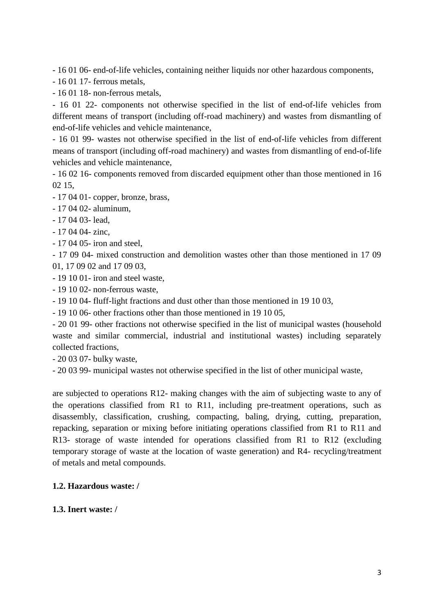- 16 01 06- end-of-life vehicles, containing neither liquids nor other hazardous components,

- 16 01 17- ferrous metals,
- 16 01 18- non-ferrous metals,

- 16 01 22- components not otherwise specified in the list of end-of-life vehicles from different means of transport (including off-road machinery) and wastes from dismantling of end-of-life vehicles and vehicle maintenance,

- 16 01 99- wastes not otherwise specified in the list of end-of-life vehicles from different means of transport (including off-road machinery) and wastes from dismantling of end-of-life vehicles and vehicle maintenance,

- 16 02 16- components removed from discarded equipment other than those mentioned in 16 02 15,

- 17 04 01- copper, bronze, brass,
- 17 04 02- aluminum,
- 17 04 03- lead,
- 17 04 04- zinc,
- 17 04 05- iron and steel,

- 17 09 04- mixed construction and demolition wastes other than those mentioned in 17 09 01, 17 09 02 and 17 09 03,

- 19 10 01- iron and steel waste,
- 19 10 02- non-ferrous waste,
- 19 10 04- fluff-light fractions and dust other than those mentioned in 19 10 03,
- 19 10 06- other fractions other than those mentioned in 19 10 05,

- 20 01 99- other fractions not otherwise specified in the list of municipal wastes (household waste and similar commercial, industrial and institutional wastes) including separately collected fractions,

- 20 03 07- bulky waste,

- 20 03 99- municipal wastes not otherwise specified in the list of other municipal waste,

are subjected to operations R12- making changes with the aim of subjecting waste to any of the operations classified from R1 to R11, including pre-treatment operations, such as disassembly, classification, crushing, compacting, baling, drying, cutting, preparation, repacking, separation or mixing before initiating operations classified from R1 to R11 and R13- storage of waste intended for operations classified from R1 to R12 (excluding temporary storage of waste at the location of waste generation) and R4- recycling/treatment of metals and metal compounds.

#### **1.2. Hazardous waste: /**

#### **1.3. Inert waste: /**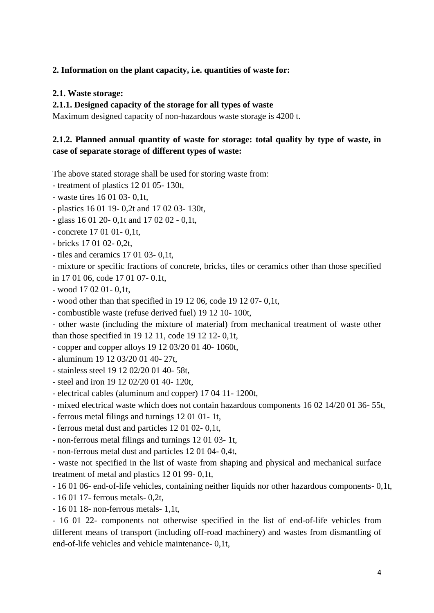### **2. Information on the plant capacity, i.e. quantities of waste for:**

#### **2.1. Waste storage:**

#### **2.1.1. Designed capacity of the storage for all types of waste**

Maximum designed capacity of non-hazardous waste storage is 4200 t.

### **2.1.2. Planned annual quantity of waste for storage: total quality by type of waste, in case of separate storage of different types of waste:**

The above stated storage shall be used for storing waste from:

- treatment of plastics 12 01 05- 130t,

- waste tires 16 01 03- 0,1t,

- plastics 16 01 19- 0,2t and 17 02 03- 130t,

- glass 16 01 20- 0,1t and 17 02 02 - 0,1t,

- concrete 17 01 01- 0,1t,

- bricks 17 01 02- 0,2t,

- tiles and ceramics 17 01 03- 0,1t,

- mixture or specific fractions of concrete, bricks, tiles or ceramics other than those specified in 17 01 06, code 17 01 07- 0.1t,

- wood 17 02 01- 0,1t,

- wood other than that specified in 19 12 06, code 19 12 07- 0,1t,

- combustible waste (refuse derived fuel) 19 12 10- 100t,

- other waste (including the mixture of material) from mechanical treatment of waste other than those specified in 19 12 11, code 19 12 12- 0,1t,

- copper and copper alloys 19 12 03/20 01 40- 1060t,

- aluminum 19 12 03/20 01 40- 27t,

- stainless steel 19 12 02/20 01 40- 58t,
- steel and iron 19 12 02/20 01 40- 120t,
- electrical cables (aluminum and copper) 17 04 11- 1200t,

- mixed electrical waste which does not contain hazardous components 16 02 14/20 01 36- 55t,

- ferrous metal filings and turnings 12 01 01- 1t,

- ferrous metal dust and particles 12 01 02- 0,1t,

- non-ferrous metal filings and turnings 12 01 03- 1t,

- non-ferrous metal dust and particles 12 01 04- 0,4t,

- waste not specified in the list of waste from shaping and physical and mechanical surface treatment of metal and plastics 12 01 99- 0,1t,

- 16 01 06- end-of-life vehicles, containing neither liquids nor other hazardous components- 0,1t,

- 16 01 17- ferrous metals- 0,2t,
- 16 01 18- non-ferrous metals- 1,1t,

- 16 01 22- components not otherwise specified in the list of end-of-life vehicles from different means of transport (including off-road machinery) and wastes from dismantling of end-of-life vehicles and vehicle maintenance- 0,1t,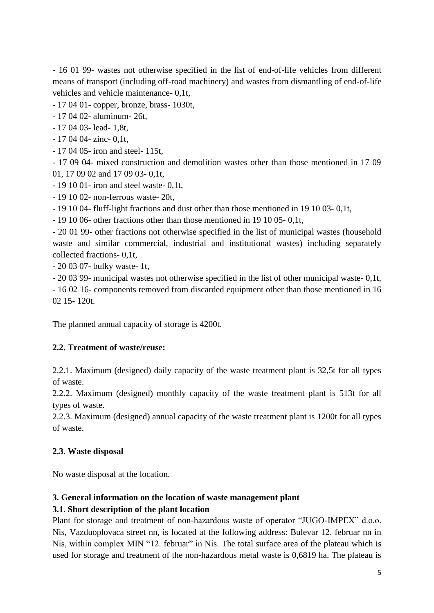- 16 01 99- wastes not otherwise specified in the list of end-of-life vehicles from different means of transport (including off-road machinery) and wastes from dismantling of end-of-life vehicles and vehicle maintenance- 0,1t,

- 17 04 01- copper, bronze, brass- 1030t,

- 17 04 02- aluminum- 26t,
- 17 04 03- lead- 1,8t,
- 17 04 04- zinc- 0,1t,
- 17 04 05- iron and steel- 115t,

- 17 09 04- mixed construction and demolition wastes other than those mentioned in 17 09 01, 17 09 02 and 17 09 03- 0,1t,

- 19 10 01- iron and steel waste- 0,1t,

- 19 10 02- non-ferrous waste- 20t,

- 19 10 04- fluff-light fractions and dust other than those mentioned in 19 10 03- 0,1t,

- 19 10 06- other fractions other than those mentioned in 19 10 05- 0,1t,

- 20 01 99- other fractions not otherwise specified in the list of municipal wastes (household waste and similar commercial, industrial and institutional wastes) including separately collected fractions- 0,1t,

- 20 03 07- bulky waste- 1t,

- 20 03 99- municipal wastes not otherwise specified in the list of other municipal waste- 0,1t, - 16 02 16- components removed from discarded equipment other than those mentioned in 16 02 15- 120t.

The planned annual capacity of storage is 4200t.

### **2.2. Treatment of waste/reuse:**

2.2.1. Maximum (designed) daily capacity of the waste treatment plant is 32,5t for all types of waste.

2.2.2. Maximum (designed) monthly capacity of the waste treatment plant is 513t for all types of waste.

2.2.3. Maximum (designed) annual capacity of the waste treatment plant is 1200t for all types of waste.

### **2.3. Waste disposal**

No waste disposal at the location.

### **3. General information on the location of waste management plant**

### **3.1. Short description of the plant location**

Plant for storage and treatment of non-hazardous waste of operator "JUGO-IMPEX" d.o.o. Nis, Vazduoplovaca street nn, is located at the following address: Bulevar 12. februar nn in Nis, within complex MIN "12. februar" in Nis. The total surface area of the plateau which is used for storage and treatment of the non-hazardous metal waste is 0,6819 ha. The plateau is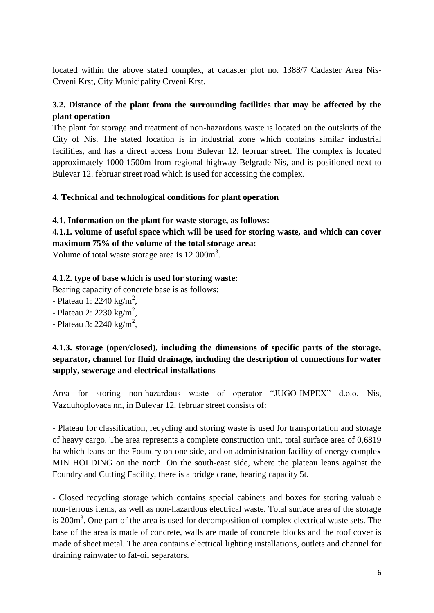located within the above stated complex, at cadaster plot no. 1388/7 Cadaster Area Nis-Crveni Krst, City Municipality Crveni Krst.

# **3.2. Distance of the plant from the surrounding facilities that may be affected by the plant operation**

The plant for storage and treatment of non-hazardous waste is located on the outskirts of the City of Nis. The stated location is in industrial zone which contains similar industrial facilities, and has a direct access from Bulevar 12. februar street. The complex is located approximately 1000-1500m from regional highway Belgrade-Nis, and is positioned next to Bulevar 12. februar street road which is used for accessing the complex.

#### **4. Technical and technological conditions for plant operation**

#### **4.1. Information on the plant for waste storage, as follows:**

**4.1.1. volume of useful space which will be used for storing waste, and which can cover maximum 75% of the volume of the total storage area:**

Volume of total waste storage area is  $12 000 \text{m}^3$ .

#### **4.1.2. type of base which is used for storing waste:**

Bearing capacity of concrete base is as follows:

- Plateau 1: 2240 kg/m<sup>2</sup>,
- Plateau 2: 2230 kg/m<sup>2</sup>,
- Plateau 3:  $2240 \text{ kg/m}^2$ ,

## **4.1.3. storage (open/closed), including the dimensions of specific parts of the storage, separator, channel for fluid drainage, including the description of connections for water supply, sewerage and electrical installations**

Area for storing non-hazardous waste of operator "JUGO-IMPEX" d.o.o. Nis, Vazduhoplovaca nn, in Bulevar 12. februar street consists of:

- Plateau for classification, recycling and storing waste is used for transportation and storage of heavy cargo. The area represents a complete construction unit, total surface area of 0,6819 ha which leans on the Foundry on one side, and on administration facility of energy complex MIN HOLDING on the north. On the south-east side, where the plateau leans against the Foundry and Cutting Facility, there is a bridge crane, bearing capacity 5t.

- Closed recycling storage which contains special cabinets and boxes for storing valuable non-ferrous items, as well as non-hazardous electrical waste. Total surface area of the storage is  $200m<sup>3</sup>$ . One part of the area is used for decomposition of complex electrical waste sets. The base of the area is made of concrete, walls are made of concrete blocks and the roof cover is made of sheet metal. The area contains electrical lighting installations, outlets and channel for draining rainwater to fat-oil separators.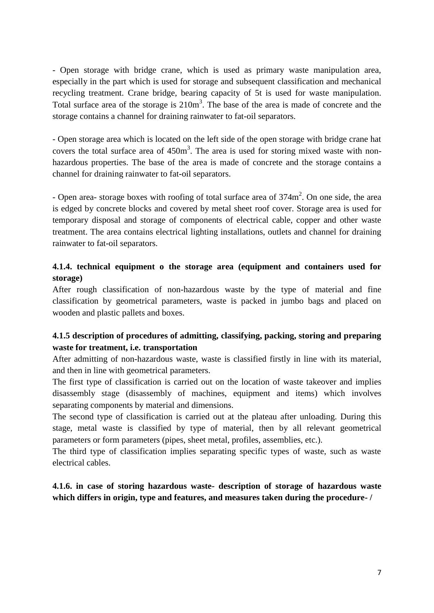- Open storage with bridge crane, which is used as primary waste manipulation area, especially in the part which is used for storage and subsequent classification and mechanical recycling treatment. Crane bridge, bearing capacity of 5t is used for waste manipulation. Total surface area of the storage is  $210m<sup>3</sup>$ . The base of the area is made of concrete and the storage contains a channel for draining rainwater to fat-oil separators.

- Open storage area which is located on the left side of the open storage with bridge crane hat covers the total surface area of  $450m<sup>3</sup>$ . The area is used for storing mixed waste with nonhazardous properties. The base of the area is made of concrete and the storage contains a channel for draining rainwater to fat-oil separators.

- Open area- storage boxes with roofing of total surface area of  $374m^2$ . On one side, the area is edged by concrete blocks and covered by metal sheet roof cover. Storage area is used for temporary disposal and storage of components of electrical cable, copper and other waste treatment. The area contains electrical lighting installations, outlets and channel for draining rainwater to fat-oil separators.

### **4.1.4. technical equipment o the storage area (equipment and containers used for storage)**

After rough classification of non-hazardous waste by the type of material and fine classification by geometrical parameters, waste is packed in jumbo bags and placed on wooden and plastic pallets and boxes.

### **4.1.5 description of procedures of admitting, classifying, packing, storing and preparing waste for treatment, i.e. transportation**

After admitting of non-hazardous waste, waste is classified firstly in line with its material, and then in line with geometrical parameters.

The first type of classification is carried out on the location of waste takeover and implies disassembly stage (disassembly of machines, equipment and items) which involves separating components by material and dimensions.

The second type of classification is carried out at the plateau after unloading. During this stage, metal waste is classified by type of material, then by all relevant geometrical parameters or form parameters (pipes, sheet metal, profiles, assemblies, etc.).

The third type of classification implies separating specific types of waste, such as waste electrical cables.

### **4.1.6. in case of storing hazardous waste- description of storage of hazardous waste which differs in origin, type and features, and measures taken during the procedure- /**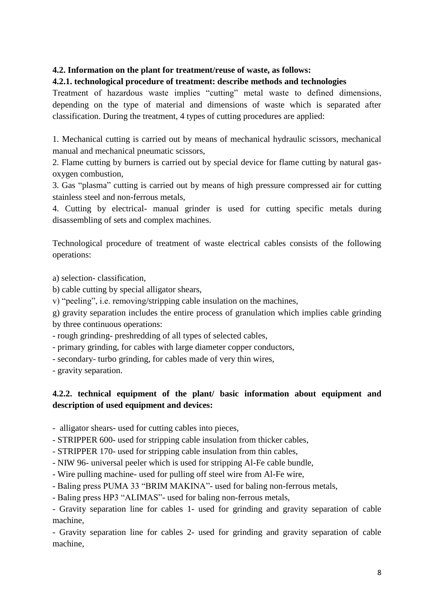### **4.2. Information on the plant for treatment/reuse of waste, as follows:**

#### **4.2.1. technological procedure of treatment: describe methods and technologies**

Treatment of hazardous waste implies "cutting" metal waste to defined dimensions, depending on the type of material and dimensions of waste which is separated after classification. During the treatment, 4 types of cutting procedures are applied:

1. Mechanical cutting is carried out by means of mechanical hydraulic scissors, mechanical manual and mechanical pneumatic scissors,

2. Flame cutting by burners is carried out by special device for flame cutting by natural gasoxygen combustion,

3. Gas "plasma" cutting is carried out by means of high pressure compressed air for cutting stainless steel and non-ferrous metals,

4. Cutting by electrical- manual grinder is used for cutting specific metals during disassembling of sets and complex machines.

Technological procedure of treatment of waste electrical cables consists of the following operations:

a) selection- classification,

b) cable cutting by special alligator shears,

v) "peeling", i.e. removing/stripping cable insulation on the machines,

g) gravity separation includes the entire process of granulation which implies cable grinding by three continuous operations:

- rough grinding- preshredding of all types of selected cables,

- primary grinding, for cables with large diameter copper conductors,

- secondary- turbo grinding, for cables made of very thin wires,

- gravity separation.

### **4.2.2. technical equipment of the plant/ basic information about equipment and description of used equipment and devices:**

- alligator shears- used for cutting cables into pieces,

- STRIPPER 600- used for stripping cable insulation from thicker cables,

- STRIPPER 170- used for stripping cable insulation from thin cables,

- NIW 96- universal peeler which is used for stripping Al-Fe cable bundle,

- Wire pulling machine- used for pulling off steel wire from Al-Fe wire,

- Baling press PUMA 33 "BRIM MAKINA"- used for baling non-ferrous metals,

- Baling press HP3 "ALIMAS"- used for baling non-ferrous metals,

- Gravity separation line for cables 1- used for grinding and gravity separation of cable machine,

- Gravity separation line for cables 2- used for grinding and gravity separation of cable machine,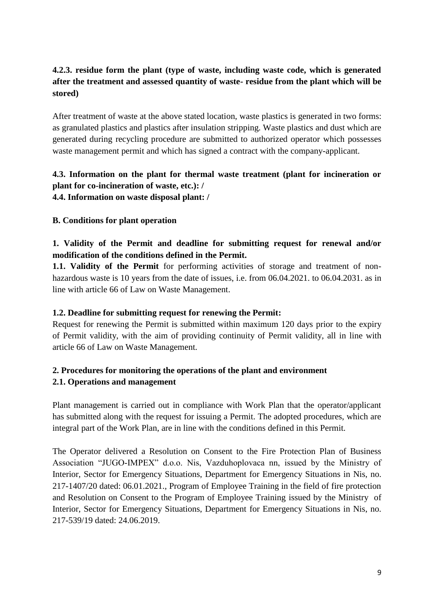## **4.2.3. residue form the plant (type of waste, including waste code, which is generated after the treatment and assessed quantity of waste- residue from the plant which will be stored)**

After treatment of waste at the above stated location, waste plastics is generated in two forms: as granulated plastics and plastics after insulation stripping. Waste plastics and dust which are generated during recycling procedure are submitted to authorized operator which possesses waste management permit and which has signed a contract with the company-applicant.

# **4.3. Information on the plant for thermal waste treatment (plant for incineration or plant for co-incineration of waste, etc.): /**

**4.4. Information on waste disposal plant: /**

### **B. Conditions for plant operation**

# **1. Validity of the Permit and deadline for submitting request for renewal and/or modification of the conditions defined in the Permit.**

**1.1. Validity of the Permit** for performing activities of storage and treatment of nonhazardous waste is 10 years from the date of issues, i.e. from 06.04.2021. to 06.04.2031. as in line with article 66 of Law on Waste Management.

### **1.2. Deadline for submitting request for renewing the Permit:**

Request for renewing the Permit is submitted within maximum 120 days prior to the expiry of Permit validity, with the aim of providing continuity of Permit validity, all in line with article 66 of Law on Waste Management.

### **2. Procedures for monitoring the operations of the plant and environment 2.1. Operations and management**

Plant management is carried out in compliance with Work Plan that the operator/applicant has submitted along with the request for issuing a Permit. The adopted procedures, which are integral part of the Work Plan, are in line with the conditions defined in this Permit.

The Operator delivered a Resolution on Consent to the Fire Protection Plan of Business Association "JUGO-IMPEX" d.o.o. Nis, Vazduhoplovaca nn, issued by the Ministry of Interior, Sector for Emergency Situations, Department for Emergency Situations in Nis, no. 217-1407/20 dated: 06.01.2021., Program of Employee Training in the field of fire protection and Resolution on Consent to the Program of Employee Training issued by the Ministry of Interior, Sector for Emergency Situations, Department for Emergency Situations in Nis, no. 217-539/19 dated: 24.06.2019.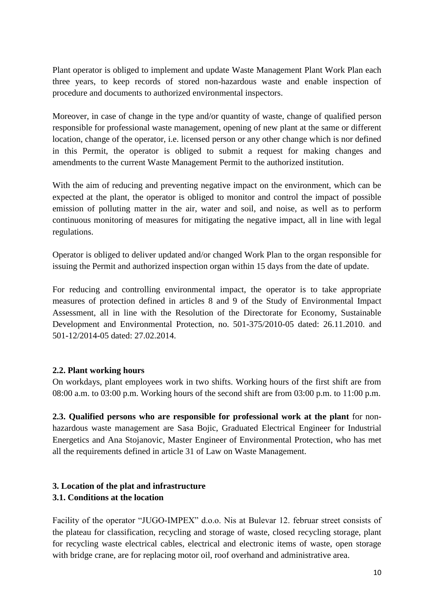Plant operator is obliged to implement and update Waste Management Plant Work Plan each three years, to keep records of stored non-hazardous waste and enable inspection of procedure and documents to authorized environmental inspectors.

Moreover, in case of change in the type and/or quantity of waste, change of qualified person responsible for professional waste management, opening of new plant at the same or different location, change of the operator, i.e. licensed person or any other change which is nor defined in this Permit, the operator is obliged to submit a request for making changes and amendments to the current Waste Management Permit to the authorized institution.

With the aim of reducing and preventing negative impact on the environment, which can be expected at the plant, the operator is obliged to monitor and control the impact of possible emission of polluting matter in the air, water and soil, and noise, as well as to perform continuous monitoring of measures for mitigating the negative impact, all in line with legal regulations.

Operator is obliged to deliver updated and/or changed Work Plan to the organ responsible for issuing the Permit and authorized inspection organ within 15 days from the date of update.

For reducing and controlling environmental impact, the operator is to take appropriate measures of protection defined in articles 8 and 9 of the Study of Environmental Impact Assessment, all in line with the Resolution of the Directorate for Economy, Sustainable Development and Environmental Protection, no. 501-375/2010-05 dated: 26.11.2010. and 501-12/2014-05 dated: 27.02.2014.

#### **2.2. Plant working hours**

On workdays, plant employees work in two shifts. Working hours of the first shift are from 08:00 a.m. to 03:00 p.m. Working hours of the second shift are from 03:00 p.m. to 11:00 p.m.

**2.3. Qualified persons who are responsible for professional work at the plant** for nonhazardous waste management are Sasa Bojic, Graduated Electrical Engineer for Industrial Energetics and Ana Stojanovic, Master Engineer of Environmental Protection, who has met all the requirements defined in article 31 of Law on Waste Management.

# **3. Location of the plat and infrastructure**

#### **3.1. Conditions at the location**

Facility of the operator "JUGO-IMPEX" d.o.o. Nis at Bulevar 12. februar street consists of the plateau for classification, recycling and storage of waste, closed recycling storage, plant for recycling waste electrical cables, electrical and electronic items of waste, open storage with bridge crane, are for replacing motor oil, roof overhand and administrative area.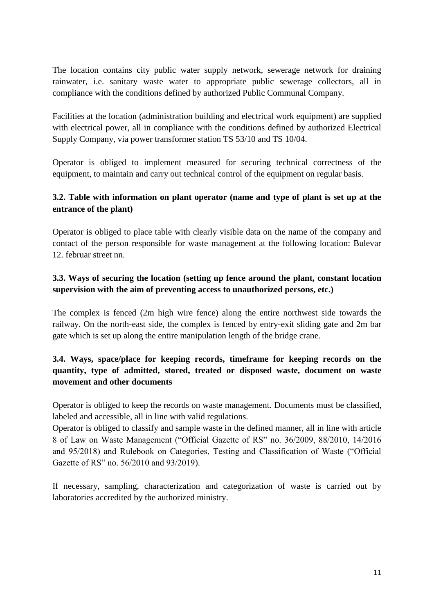The location contains city public water supply network, sewerage network for draining rainwater, i.e. sanitary waste water to appropriate public sewerage collectors, all in compliance with the conditions defined by authorized Public Communal Company.

Facilities at the location (administration building and electrical work equipment) are supplied with electrical power, all in compliance with the conditions defined by authorized Electrical Supply Company, via power transformer station TS 53/10 and TS 10/04.

Operator is obliged to implement measured for securing technical correctness of the equipment, to maintain and carry out technical control of the equipment on regular basis.

## **3.2. Table with information on plant operator (name and type of plant is set up at the entrance of the plant)**

Operator is obliged to place table with clearly visible data on the name of the company and contact of the person responsible for waste management at the following location: Bulevar 12. februar street nn.

### **3.3. Ways of securing the location (setting up fence around the plant, constant location supervision with the aim of preventing access to unauthorized persons, etc.)**

The complex is fenced (2m high wire fence) along the entire northwest side towards the railway. On the north-east side, the complex is fenced by entry-exit sliding gate and 2m bar gate which is set up along the entire manipulation length of the bridge crane.

# **3.4. Ways, space/place for keeping records, timeframe for keeping records on the quantity, type of admitted, stored, treated or disposed waste, document on waste movement and other documents**

Operator is obliged to keep the records on waste management. Documents must be classified, labeled and accessible, all in line with valid regulations.

Operator is obliged to classify and sample waste in the defined manner, all in line with article 8 of Law on Waste Management ("Official Gazette of RS" no. 36/2009, 88/2010, 14/2016 and 95/2018) and Rulebook on Categories, Testing and Classification of Waste ("Official Gazette of RS" no. 56/2010 and 93/2019).

If necessary, sampling, characterization and categorization of waste is carried out by laboratories accredited by the authorized ministry.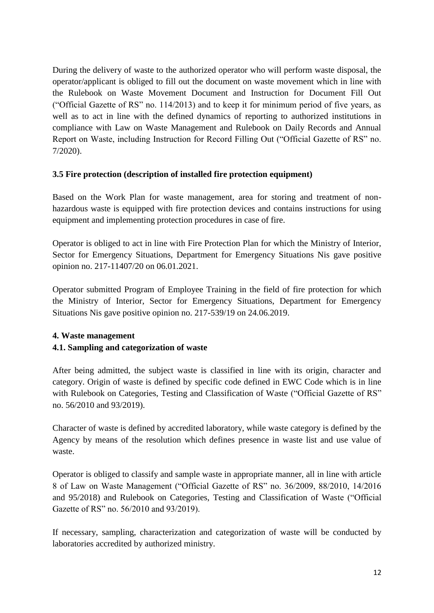During the delivery of waste to the authorized operator who will perform waste disposal, the operator/applicant is obliged to fill out the document on waste movement which in line with the Rulebook on Waste Movement Document and Instruction for Document Fill Out ("Official Gazette of RS" no. 114/2013) and to keep it for minimum period of five years, as well as to act in line with the defined dynamics of reporting to authorized institutions in compliance with Law on Waste Management and Rulebook on Daily Records and Annual Report on Waste, including Instruction for Record Filling Out ("Official Gazette of RS" no. 7/2020).

### **3.5 Fire protection (description of installed fire protection equipment)**

Based on the Work Plan for waste management, area for storing and treatment of nonhazardous waste is equipped with fire protection devices and contains instructions for using equipment and implementing protection procedures in case of fire.

Operator is obliged to act in line with Fire Protection Plan for which the Ministry of Interior, Sector for Emergency Situations, Department for Emergency Situations Nis gave positive opinion no. 217-11407/20 on 06.01.2021.

Operator submitted Program of Employee Training in the field of fire protection for which the Ministry of Interior, Sector for Emergency Situations, Department for Emergency Situations Nis gave positive opinion no. 217-539/19 on 24.06.2019.

# **4. Waste management**

### **4.1. Sampling and categorization of waste**

After being admitted, the subject waste is classified in line with its origin, character and category. Origin of waste is defined by specific code defined in EWC Code which is in line with Rulebook on Categories, Testing and Classification of Waste ("Official Gazette of RS" no. 56/2010 and 93/2019).

Character of waste is defined by accredited laboratory, while waste category is defined by the Agency by means of the resolution which defines presence in waste list and use value of waste.

Operator is obliged to classify and sample waste in appropriate manner, all in line with article 8 of Law on Waste Management ("Official Gazette of RS" no. 36/2009, 88/2010, 14/2016 and 95/2018) and Rulebook on Categories, Testing and Classification of Waste ("Official Gazette of RS" no. 56/2010 and 93/2019).

If necessary, sampling, characterization and categorization of waste will be conducted by laboratories accredited by authorized ministry.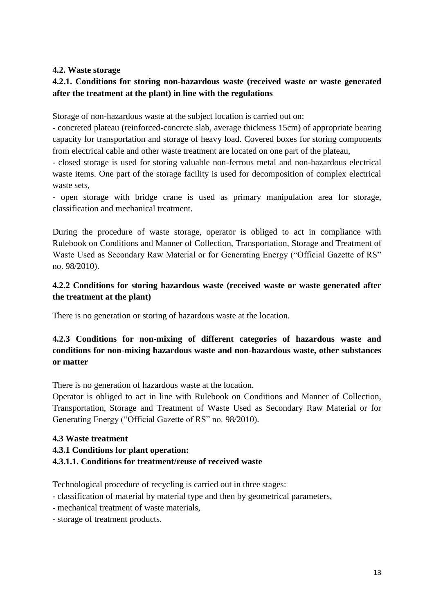#### **4.2. Waste storage**

### **4.2.1. Conditions for storing non-hazardous waste (received waste or waste generated after the treatment at the plant) in line with the regulations**

Storage of non-hazardous waste at the subject location is carried out on:

- concreted plateau (reinforced-concrete slab, average thickness 15cm) of appropriate bearing capacity for transportation and storage of heavy load. Covered boxes for storing components from electrical cable and other waste treatment are located on one part of the plateau,

- closed storage is used for storing valuable non-ferrous metal and non-hazardous electrical waste items. One part of the storage facility is used for decomposition of complex electrical waste sets,

- open storage with bridge crane is used as primary manipulation area for storage, classification and mechanical treatment.

During the procedure of waste storage, operator is obliged to act in compliance with Rulebook on Conditions and Manner of Collection, Transportation, Storage and Treatment of Waste Used as Secondary Raw Material or for Generating Energy ("Official Gazette of RS" no. 98/2010).

### **4.2.2 Conditions for storing hazardous waste (received waste or waste generated after the treatment at the plant)**

There is no generation or storing of hazardous waste at the location.

## **4.2.3 Conditions for non-mixing of different categories of hazardous waste and conditions for non-mixing hazardous waste and non-hazardous waste, other substances or matter**

There is no generation of hazardous waste at the location.

Operator is obliged to act in line with Rulebook on Conditions and Manner of Collection, Transportation, Storage and Treatment of Waste Used as Secondary Raw Material or for Generating Energy ("Official Gazette of RS" no. 98/2010).

#### **4.3 Waste treatment**

#### **4.3.1 Conditions for plant operation: 4.3.1.1. Conditions for treatment/reuse of received waste**

Technological procedure of recycling is carried out in three stages:

- classification of material by material type and then by geometrical parameters,
- mechanical treatment of waste materials,
- storage of treatment products.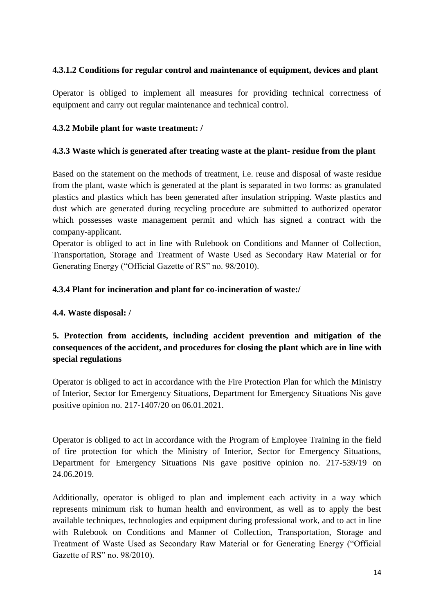### **4.3.1.2 Conditions for regular control and maintenance of equipment, devices and plant**

Operator is obliged to implement all measures for providing technical correctness of equipment and carry out regular maintenance and technical control.

#### **4.3.2 Mobile plant for waste treatment: /**

#### **4.3.3 Waste which is generated after treating waste at the plant- residue from the plant**

Based on the statement on the methods of treatment, i.e. reuse and disposal of waste residue from the plant, waste which is generated at the plant is separated in two forms: as granulated plastics and plastics which has been generated after insulation stripping. Waste plastics and dust which are generated during recycling procedure are submitted to authorized operator which possesses waste management permit and which has signed a contract with the company-applicant.

Operator is obliged to act in line with Rulebook on Conditions and Manner of Collection, Transportation, Storage and Treatment of Waste Used as Secondary Raw Material or for Generating Energy ("Official Gazette of RS" no. 98/2010).

### **4.3.4 Plant for incineration and plant for co-incineration of waste:/**

#### **4.4. Waste disposal: /**

# **5. Protection from accidents, including accident prevention and mitigation of the consequences of the accident, and procedures for closing the plant which are in line with special regulations**

Operator is obliged to act in accordance with the Fire Protection Plan for which the Ministry of Interior, Sector for Emergency Situations, Department for Emergency Situations Nis gave positive opinion no. 217-1407/20 on 06.01.2021.

Operator is obliged to act in accordance with the Program of Employee Training in the field of fire protection for which the Ministry of Interior, Sector for Emergency Situations, Department for Emergency Situations Nis gave positive opinion no. 217-539/19 on 24.06.2019.

Additionally, operator is obliged to plan and implement each activity in a way which represents minimum risk to human health and environment, as well as to apply the best available techniques, technologies and equipment during professional work, and to act in line with Rulebook on Conditions and Manner of Collection, Transportation, Storage and Treatment of Waste Used as Secondary Raw Material or for Generating Energy ("Official Gazette of RS" no. 98/2010).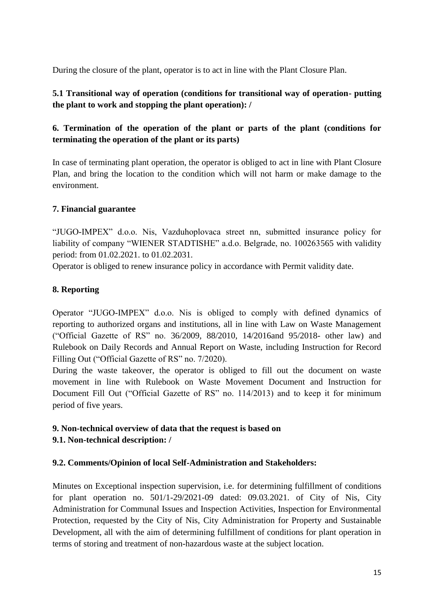During the closure of the plant, operator is to act in line with the Plant Closure Plan.

### **5.1 Transitional way of operation (conditions for transitional way of operation- putting the plant to work and stopping the plant operation): /**

## **6. Termination of the operation of the plant or parts of the plant (conditions for terminating the operation of the plant or its parts)**

In case of terminating plant operation, the operator is obliged to act in line with Plant Closure Plan, and bring the location to the condition which will not harm or make damage to the environment.

#### **7. Financial guarantee**

"JUGO-IMPEX" d.o.o. Nis, Vazduhoplovaca street nn, submitted insurance policy for liability of company "WIENER STADTISHE" a.d.o. Belgrade, no. 100263565 with validity period: from 01.02.2021. to 01.02.2031.

Operator is obliged to renew insurance policy in accordance with Permit validity date.

### **8. Reporting**

Operator "JUGO-IMPEX" d.o.o. Nis is obliged to comply with defined dynamics of reporting to authorized organs and institutions, all in line with Law on Waste Management ("Official Gazette of RS" no. 36/2009, 88/2010, 14/2016and 95/2018- other law) and Rulebook on Daily Records and Annual Report on Waste, including Instruction for Record Filling Out ("Official Gazette of RS" no. 7/2020).

During the waste takeover, the operator is obliged to fill out the document on waste movement in line with Rulebook on Waste Movement Document and Instruction for Document Fill Out ("Official Gazette of RS" no. 114/2013) and to keep it for minimum period of five years.

### **9. Non-technical overview of data that the request is based on**

### **9.1. Non-technical description: /**

#### **9.2. Comments/Opinion of local Self-Administration and Stakeholders:**

Minutes on Exceptional inspection supervision, i.e. for determining fulfillment of conditions for plant operation no. 501/1-29/2021-09 dated: 09.03.2021. of City of Nis, City Administration for Communal Issues and Inspection Activities, Inspection for Environmental Protection, requested by the City of Nis, City Administration for Property and Sustainable Development, all with the aim of determining fulfillment of conditions for plant operation in terms of storing and treatment of non-hazardous waste at the subject location.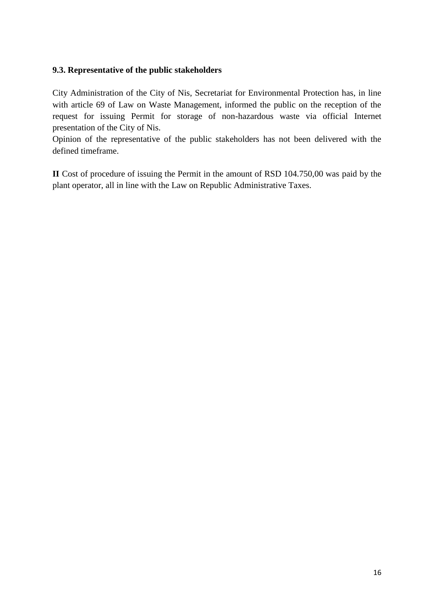#### **9.3. Representative of the public stakeholders**

City Administration of the City of Nis, Secretariat for Environmental Protection has, in line with article 69 of Law on Waste Management, informed the public on the reception of the request for issuing Permit for storage of non-hazardous waste via official Internet presentation of the City of Nis.

Opinion of the representative of the public stakeholders has not been delivered with the defined timeframe.

**II** Cost of procedure of issuing the Permit in the amount of RSD 104.750,00 was paid by the plant operator, all in line with the Law on Republic Administrative Taxes.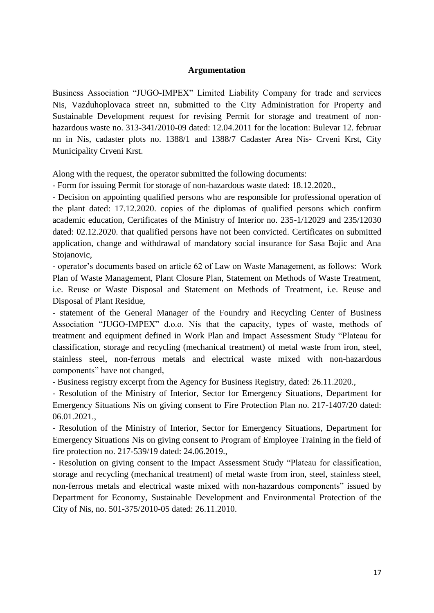#### **Argumentation**

Business Association "JUGO-IMPEX" Limited Liability Company for trade and services Nis, Vazduhoplovaca street nn, submitted to the City Administration for Property and Sustainable Development request for revising Permit for storage and treatment of nonhazardous waste no. 313-341/2010-09 dated: 12.04.2011 for the location: Bulevar 12. februar nn in Nis, cadaster plots no. 1388/1 and 1388/7 Cadaster Area Nis- Crveni Krst, City Municipality Crveni Krst.

Along with the request, the operator submitted the following documents:

- Form for issuing Permit for storage of non-hazardous waste dated: 18.12.2020.,

- Decision on appointing qualified persons who are responsible for professional operation of the plant dated: 17.12.2020. copies of the diplomas of qualified persons which confirm academic education, Certificates of the Ministry of Interior no. 235-1/12029 and 235/12030 dated: 02.12.2020. that qualified persons have not been convicted. Certificates on submitted application, change and withdrawal of mandatory social insurance for Sasa Bojic and Ana Stojanovic,

- operator's documents based on article 62 of Law on Waste Management, as follows: Work Plan of Waste Management, Plant Closure Plan, Statement on Methods of Waste Treatment, i.e. Reuse or Waste Disposal and Statement on Methods of Treatment, i.e. Reuse and Disposal of Plant Residue,

- statement of the General Manager of the Foundry and Recycling Center of Business Association "JUGO-IMPEX" d.o.o. Nis that the capacity, types of waste, methods of treatment and equipment defined in Work Plan and Impact Assessment Study "Plateau for classification, storage and recycling (mechanical treatment) of metal waste from iron, steel, stainless steel, non-ferrous metals and electrical waste mixed with non-hazardous components" have not changed,

- Business registry excerpt from the Agency for Business Registry, dated: 26.11.2020.,

- Resolution of the Ministry of Interior, Sector for Emergency Situations, Department for Emergency Situations Nis on giving consent to Fire Protection Plan no. 217-1407/20 dated: 06.01.2021.,

- Resolution of the Ministry of Interior, Sector for Emergency Situations, Department for Emergency Situations Nis on giving consent to Program of Employee Training in the field of fire protection no. 217-539/19 dated: 24.06.2019.,

- Resolution on giving consent to the Impact Assessment Study "Plateau for classification, storage and recycling (mechanical treatment) of metal waste from iron, steel, stainless steel, non-ferrous metals and electrical waste mixed with non-hazardous components" issued by Department for Economy, Sustainable Development and Environmental Protection of the City of Nis, no. 501-375/2010-05 dated: 26.11.2010.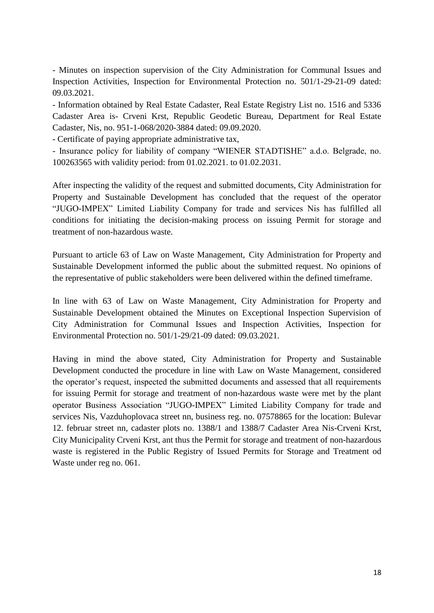- Minutes on inspection supervision of the City Administration for Communal Issues and Inspection Activities, Inspection for Environmental Protection no. 501/1-29-21-09 dated: 09.03.2021.

- Information obtained by Real Estate Cadaster, Real Estate Registry List no. 1516 and 5336 Cadaster Area is- Crveni Krst, Republic Geodetic Bureau, Department for Real Estate Cadaster, Nis, no. 951-1-068/2020-3884 dated: 09.09.2020.

- Certificate of paying appropriate administrative tax,

- Insurance policy for liability of company "WIENER STADTISHE" a.d.o. Belgrade, no. 100263565 with validity period: from 01.02.2021. to 01.02.2031.

After inspecting the validity of the request and submitted documents, City Administration for Property and Sustainable Development has concluded that the request of the operator "JUGO-IMPEX" Limited Liability Company for trade and services Nis has fulfilled all conditions for initiating the decision-making process on issuing Permit for storage and treatment of non-hazardous waste.

Pursuant to article 63 of Law on Waste Management, City Administration for Property and Sustainable Development informed the public about the submitted request. No opinions of the representative of public stakeholders were been delivered within the defined timeframe.

In line with 63 of Law on Waste Management, City Administration for Property and Sustainable Development obtained the Minutes on Exceptional Inspection Supervision of City Administration for Communal Issues and Inspection Activities, Inspection for Environmental Protection no. 501/1-29/21-09 dated: 09.03.2021.

Having in mind the above stated, City Administration for Property and Sustainable Development conducted the procedure in line with Law on Waste Management, considered the operator's request, inspected the submitted documents and assessed that all requirements for issuing Permit for storage and treatment of non-hazardous waste were met by the plant operator Business Association "JUGO-IMPEX" Limited Liability Company for trade and services Nis, Vazduhoplovaca street nn, business reg. no. 07578865 for the location: Bulevar 12. februar street nn, cadaster plots no. 1388/1 and 1388/7 Cadaster Area Nis-Crveni Krst, City Municipality Crveni Krst, ant thus the Permit for storage and treatment of non-hazardous waste is registered in the Public Registry of Issued Permits for Storage and Treatment od Waste under reg no. 061.